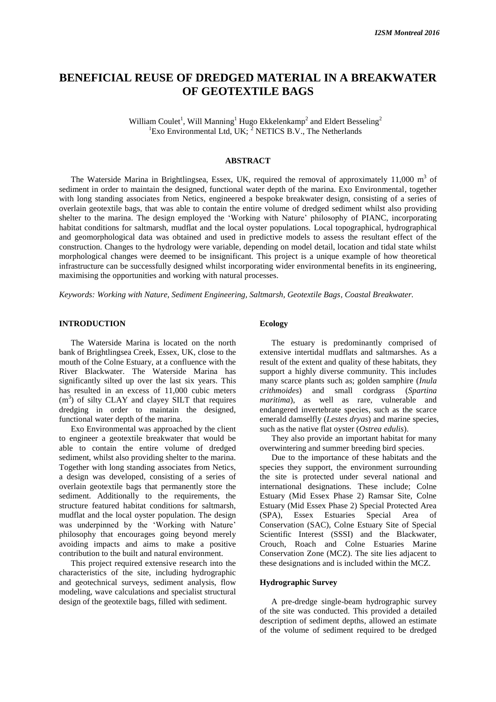# **BENEFICIAL REUSE OF DREDGED MATERIAL IN A BREAKWATER OF GEOTEXTILE BAGS**

William Coulet<sup>1</sup>, Will Manning<sup>1</sup> Hugo Ekkelenkamp<sup>2</sup> and Eldert Besseling<sup>2</sup> <sup>1</sup>Exo Environmental Ltd, UK;  $^2$  NETICS B.V., The Netherlands

# **ABSTRACT**

The Waterside Marina in Brightlingsea, Essex, UK, required the removal of approximately  $11,000 \text{ m}^3$  of sediment in order to maintain the designed, functional water depth of the marina. Exo Environmental, together with long standing associates from Netics, engineered a bespoke breakwater design, consisting of a series of overlain geotextile bags, that was able to contain the entire volume of dredged sediment whilst also providing shelter to the marina. The design employed the 'Working with Nature' philosophy of PIANC, incorporating habitat conditions for saltmarsh, mudflat and the local oyster populations. Local topographical, hydrographical and geomorphological data was obtained and used in predictive models to assess the resultant effect of the construction. Changes to the hydrology were variable, depending on model detail, location and tidal state whilst morphological changes were deemed to be insignificant. This project is a unique example of how theoretical infrastructure can be successfully designed whilst incorporating wider environmental benefits in its engineering, maximising the opportunities and working with natural processes.

*Keywords: Working with Nature, Sediment Engineering, Saltmarsh, Geotextile Bags, Coastal Breakwater.*

# **INTRODUCTION**

The Waterside Marina is located on the north bank of Brightlingsea Creek, Essex, UK, close to the mouth of the Colne Estuary, at a confluence with the River Blackwater. The Waterside Marina has significantly silted up over the last six years. This has resulted in an excess of 11,000 cubic meters  $(m<sup>3</sup>)$  of silty CLAY and clayey SILT that requires dredging in order to maintain the designed, functional water depth of the marina.

Exo Environmental was approached by the client to engineer a geotextile breakwater that would be able to contain the entire volume of dredged sediment, whilst also providing shelter to the marina. Together with long standing associates from Netics, a design was developed, consisting of a series of overlain geotextile bags that permanently store the sediment. Additionally to the requirements, the structure featured habitat conditions for saltmarsh, mudflat and the local oyster population. The design was underpinned by the 'Working with Nature' philosophy that encourages going beyond merely avoiding impacts and aims to make a positive contribution to the built and natural environment.

This project required extensive research into the characteristics of the site, including hydrographic and geotechnical surveys, sediment analysis, flow modeling, wave calculations and specialist structural design of the geotextile bags, filled with sediment.

# **Ecology**

The estuary is predominantly comprised of extensive intertidal mudflats and saltmarshes. As a result of the extent and quality of these habitats, they support a highly diverse community. This includes many scarce plants such as; golden samphire (*Inula crithmoides*) and small cordgrass (*Spartina maritima*), as well as rare, vulnerable and endangered invertebrate species, such as the scarce emerald damselfly (*Lestes dryas*) and marine species, such as the native flat oyster (*Ostrea edulis*).

They also provide an important habitat for many overwintering and summer breeding bird species.

Due to the importance of these habitats and the species they support, the environment surrounding the site is protected under several national and international designations. These include; Colne Estuary (Mid Essex Phase 2) Ramsar Site, Colne Estuary (Mid Essex Phase 2) Special Protected Area (SPA), Essex Estuaries Special Area of Conservation (SAC), Colne Estuary Site of Special Scientific Interest (SSSI) and the Blackwater, Crouch, Roach and Colne Estuaries Marine Conservation Zone (MCZ). The site lies adjacent to these designations and is included within the MCZ.

# **Hydrographic Survey**

A pre-dredge single-beam hydrographic survey of the site was conducted. This provided a detailed description of sediment depths, allowed an estimate of the volume of sediment required to be dredged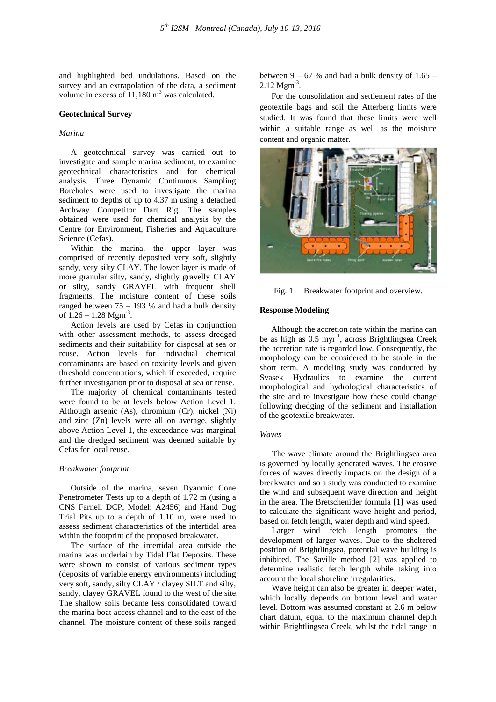and highlighted bed undulations. Based on the survey and an extrapolation of the data, a sediment volume in excess of  $11,180 \text{ m}^3$  was calculated.

### **Geotechnical Survey**

# *Marina*

A geotechnical survey was carried out to investigate and sample marina sediment, to examine geotechnical characteristics and for chemical analysis. Three Dynamic Continuous Sampling Boreholes were used to investigate the marina sediment to depths of up to 4.37 m using a detached Archway Competitor Dart Rig. The samples obtained were used for chemical analysis by the Centre for Environment, Fisheries and Aquaculture Science (Cefas).

Within the marina, the upper layer was comprised of recently deposited very soft, slightly sandy, very silty CLAY. The lower layer is made of more granular silty, sandy, slightly gravelly CLAY or silty, sandy GRAVEL with frequent shell fragments. The moisture content of these soils ranged between  $75 - 193$  % and had a bulk density of  $1.26 - 1.28$  Mgm<sup>-3</sup>.

Action levels are used by Cefas in conjunction with other assessment methods, to assess dredged sediments and their suitability for disposal at sea or reuse. Action levels for individual chemical contaminants are based on toxicity levels and given threshold concentrations, which if exceeded, require further investigation prior to disposal at sea or reuse.

The majority of chemical contaminants tested were found to be at levels below Action Level 1. Although arsenic (As), chromium (Cr), nickel (Ni) and zinc (Zn) levels were all on average, slightly above Action Level 1, the exceedance was marginal and the dredged sediment was deemed suitable by Cefas for local reuse.

# *Breakwater footprint*

Outside of the marina, seven Dyanmic Cone Penetrometer Tests up to a depth of 1.72 m (using a CNS Farnell DCP, Model: A2456) and Hand Dug Trial Pits up to a depth of 1.10 m, were used to assess sediment characteristics of the intertidal area within the footprint of the proposed breakwater.

The surface of the intertidal area outside the marina was underlain by Tidal Flat Deposits. These were shown to consist of various sediment types (deposits of variable energy environments) including very soft, sandy, silty CLAY / clayey SILT and silty, sandy, clayey GRAVEL found to the west of the site. The shallow soils became less consolidated toward the marina boat access channel and to the east of the channel. The moisture content of these soils ranged

between  $9 - 67$  % and had a bulk density of 1.65 –  $2.12 \text{ Mgm}^3$ .

For the consolidation and settlement rates of the geotextile bags and soil the Atterberg limits were studied. It was found that these limits were well within a suitable range as well as the moisture content and organic matter.



Fig. 1 Breakwater footprint and overview.

#### **Response Modeling**

Although the accretion rate within the marina can be as high as 0.5 myr<sup>-1</sup>, across Brightlingsea Creek the accretion rate is regarded low. Consequently, the morphology can be considered to be stable in the short term. A modeling study was conducted by Svasek Hydraulics to examine the current morphological and hydrological characteristics of the site and to investigate how these could change following dredging of the sediment and installation of the geotextile breakwater.

### *Waves*

The wave climate around the Brightlingsea area is governed by locally generated waves. The erosive forces of waves directly impacts on the design of a breakwater and so a study was conducted to examine the wind and subsequent wave direction and height in the area. The Bretschenider formula [1] was used to calculate the significant wave height and period, based on fetch length, water depth and wind speed.

Larger wind fetch length promotes the development of larger waves. Due to the sheltered position of Brightlingsea, potential wave building is inhibited. The Saville method [2] was applied to determine realistic fetch length while taking into account the local shoreline irregularities.

Wave height can also be greater in deeper water, which locally depends on bottom level and water level. Bottom was assumed constant at 2.6 m below chart datum, equal to the maximum channel depth within Brightlingsea Creek, whilst the tidal range in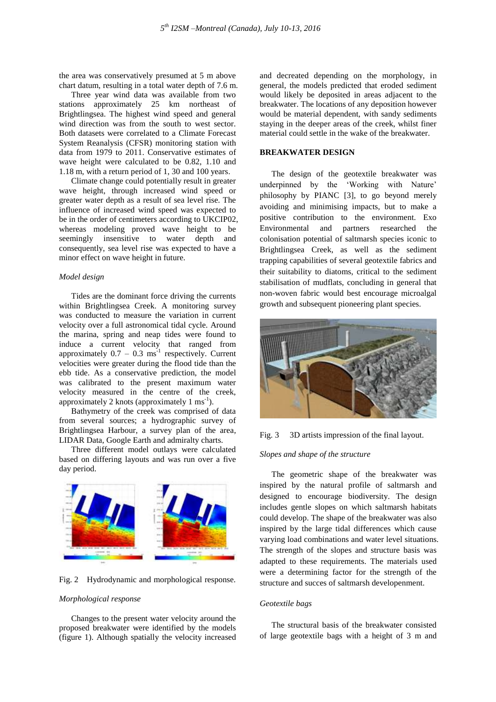the area was conservatively presumed at 5 m above chart datum, resulting in a total water depth of 7.6 m.

Three year wind data was available from two stations approximately 25 km northeast of Brightlingsea. The highest wind speed and general wind direction was from the south to west sector. Both datasets were correlated to a Climate Forecast System Reanalysis (CFSR) monitoring station with data from 1979 to 2011. Conservative estimates of wave height were calculated to be 0.82, 1.10 and 1.18 m, with a return period of 1, 30 and 100 years.

Climate change could potentially result in greater wave height, through increased wind speed or greater water depth as a result of sea level rise. The influence of increased wind speed was expected to be in the order of centimeters according to UKCIP02, whereas modeling proved wave height to be seemingly insensitive to water depth and consequently, sea level rise was expected to have a minor effect on wave height in future.

### *Model design*

Tides are the dominant force driving the currents within Brightlingsea Creek. A monitoring survey was conducted to measure the variation in current velocity over a full astronomical tidal cycle. Around the marina, spring and neap tides were found to induce a current velocity that ranged from approximately  $0.7 - 0.3$  ms<sup>-1</sup> respectively. Current velocities were greater during the flood tide than the ebb tide. As a conservative prediction, the model was calibrated to the present maximum water velocity measured in the centre of the creek, approximately 2 knots (approximately 1  $\text{ms}^{-1}$ ).

Bathymetry of the creek was comprised of data from several sources; a hydrographic survey of Brightlingsea Harbour, a survey plan of the area, LIDAR Data, Google Earth and admiralty charts.

Three different model outlays were calculated based on differing layouts and was run over a five day period.



Fig. 2 Hydrodynamic and morphological response.

#### *Morphological response*

Changes to the present water velocity around the proposed breakwater were identified by the models (figure 1). Although spatially the velocity increased and decreated depending on the morphology, in general, the models predicted that eroded sediment would likely be deposited in areas adjacent to the breakwater. The locations of any deposition however would be material dependent, with sandy sediments staying in the deeper areas of the creek, whilst finer material could settle in the wake of the breakwater.

# **BREAKWATER DESIGN**

The design of the geotextile breakwater was underpinned by the 'Working with Nature' philosophy by PIANC [3], to go beyond merely avoiding and minimising impacts, but to make a positive contribution to the environment. Exo Environmental and partners researched the colonisation potential of saltmarsh species iconic to Brightlingsea Creek, as well as the sediment trapping capabilities of several geotextile fabrics and their suitability to diatoms, critical to the sediment stabilisation of mudflats, concluding in general that non-woven fabric would best encourage microalgal growth and subsequent pioneering plant species.





# *Slopes and shape of the structure*

The geometric shape of the breakwater was inspired by the natural profile of saltmarsh and designed to encourage biodiversity. The design includes gentle slopes on which saltmarsh habitats could develop. The shape of the breakwater was also inspired by the large tidal differences which cause varying load combinations and water level situations. The strength of the slopes and structure basis was adapted to these requirements. The materials used were a determining factor for the strength of the structure and succes of saltmarsh developenment.

# *Geotextile bags*

The structural basis of the breakwater consisted of large geotextile bags with a height of 3 m and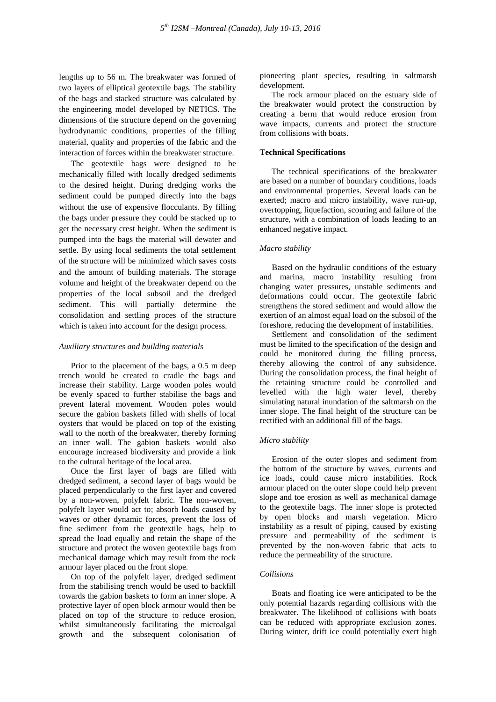lengths up to 56 m. The breakwater was formed of two layers of elliptical geotextile bags. The stability of the bags and stacked structure was calculated by the engineering model developed by NETICS. The dimensions of the structure depend on the governing hydrodynamic conditions, properties of the filling material, quality and properties of the fabric and the interaction of forces within the breakwater structure.

The geotextile bags were designed to be mechanically filled with locally dredged sediments to the desired height. During dredging works the sediment could be pumped directly into the bags without the use of expensive flocculants. By filling the bags under pressure they could be stacked up to get the necessary crest height. When the sediment is pumped into the bags the material will dewater and settle. By using local sediments the total settlement of the structure will be minimized which saves costs and the amount of building materials. The storage volume and height of the breakwater depend on the properties of the local subsoil and the dredged sediment. This will partially determine the consolidation and settling proces of the structure which is taken into account for the design process.

#### *Auxiliary structures and building materials*

Prior to the placement of the bags, a 0.5 m deep trench would be created to cradle the bags and increase their stability. Large wooden poles would be evenly spaced to further stabilise the bags and prevent lateral movement. Wooden poles would secure the gabion baskets filled with shells of local oysters that would be placed on top of the existing wall to the north of the breakwater, thereby forming an inner wall. The gabion baskets would also encourage increased biodiversity and provide a link to the cultural heritage of the local area.

Once the first layer of bags are filled with dredged sediment, a second layer of bags would be placed perpendicularly to the first layer and covered by a non-woven, polyfelt fabric. The non-woven, polyfelt layer would act to; absorb loads caused by waves or other dynamic forces, prevent the loss of fine sediment from the geotextile bags, help to spread the load equally and retain the shape of the structure and protect the woven geotextile bags from mechanical damage which may result from the rock armour layer placed on the front slope.

On top of the polyfelt layer, dredged sediment from the stabilising trench would be used to backfill towards the gabion baskets to form an inner slope. A protective layer of open block armour would then be placed on top of the structure to reduce erosion, whilst simultaneously facilitating the microalgal growth and the subsequent colonisation of pioneering plant species, resulting in saltmarsh development.

The rock armour placed on the estuary side of the breakwater would protect the construction by creating a berm that would reduce erosion from wave impacts, currents and protect the structure from collisions with boats.

# **Technical Specifications**

The technical specifications of the breakwater are based on a number of boundary conditions, loads and environmental properties. Several loads can be exerted; macro and micro instability, wave run-up, overtopping, liquefaction, scouring and failure of the structure, with a combination of loads leading to an enhanced negative impact.

### *Macro stability*

Based on the hydraulic conditions of the estuary and marina, macro instability resulting from changing water pressures, unstable sediments and deformations could occur. The geotextile fabric strengthens the stored sediment and would allow the exertion of an almost equal load on the subsoil of the foreshore, reducing the development of instabilities.

Settlement and consolidation of the sediment must be limited to the specification of the design and could be monitored during the filling process, thereby allowing the control of any subsidence. During the consolidation process, the final height of the retaining structure could be controlled and levelled with the high water level, thereby simulating natural inundation of the saltmarsh on the inner slope. The final height of the structure can be rectified with an additional fill of the bags.

#### *Micro stability*

Erosion of the outer slopes and sediment from the bottom of the structure by waves, currents and ice loads, could cause micro instabilities. Rock armour placed on the outer slope could help prevent slope and toe erosion as well as mechanical damage to the geotextile bags. The inner slope is protected by open blocks and marsh vegetation. Micro instability as a result of piping, caused by existing pressure and permeability of the sediment is prevented by the non-woven fabric that acts to reduce the permeability of the structure.

### *Collisions*

Boats and floating ice were anticipated to be the only potential hazards regarding collisions with the breakwater. The likelihood of collisions with boats can be reduced with appropriate exclusion zones. During winter, drift ice could potentially exert high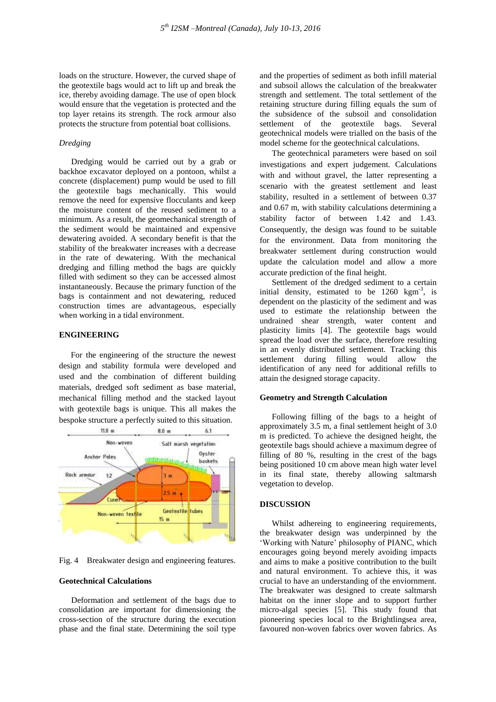loads on the structure. However, the curved shape of the geotextile bags would act to lift up and break the ice, thereby avoiding damage. The use of open block would ensure that the vegetation is protected and the top layer retains its strength. The rock armour also protects the structure from potential boat collisions.

# *Dredging*

Dredging would be carried out by a grab or backhoe excavator deployed on a pontoon, whilst a concrete (displacement) pump would be used to fill the geotextile bags mechanically. This would remove the need for expensive flocculants and keep the moisture content of the reused sediment to a minimum. As a result, the geomechanical strength of the sediment would be maintained and expensive dewatering avoided. A secondary benefit is that the stability of the breakwater increases with a decrease in the rate of dewatering. With the mechanical dredging and filling method the bags are quickly filled with sediment so they can be accessed almost instantaneously. Because the primary function of the bags is containment and not dewatering, reduced construction times are advantageous, especially when working in a tidal environment.

# **ENGINEERING**

For the engineering of the structure the newest design and stability formula were developed and used and the combination of different building materials, dredged soft sediment as base material, mechanical filling method and the stacked layout with geotextile bags is unique. This all makes the bespoke structure a perfectly suited to this situation.



Fig. 4 Breakwater design and engineering features.

# **Geotechnical Calculations**

Deformation and settlement of the bags due to consolidation are important for dimensioning the cross-section of the structure during the execution phase and the final state. Determining the soil type

and the properties of sediment as both infill material and subsoil allows the calculation of the breakwater strength and settlement. The total settlement of the retaining structure during filling equals the sum of the subsidence of the subsoil and consolidation settlement of the geotextile bags. Several geotechnical models were trialled on the basis of the model scheme for the geotechnical calculations.

The geotechnical parameters were based on soil investigations and expert judgement. Calculations with and without gravel, the latter representing a scenario with the greatest settlement and least stability, resulted in a settlement of between 0.37 and 0.67 m, with stability calculations determining a stability factor of between 1.42 and 1.43. Consequently, the design was found to be suitable for the environment. Data from monitoring the breakwater settlement during construction would update the calculation model and allow a more accurate prediction of the final height.

Settlement of the dredged sediment to a certain initial density, estimated to be  $1260 \text{ km}^3$ , is dependent on the plasticity of the sediment and was used to estimate the relationship between the undrained shear strength, water content and plasticity limits [4]. The geotextile bags would spread the load over the surface, therefore resulting in an evenly distributed settlement. Tracking this settlement during filling would allow the identification of any need for additional refills to attain the designed storage capacity.

# **Geometry and Strength Calculation**

Following filling of the bags to a height of approximately 3.5 m, a final settlement height of 3.0 m is predicted. To achieve the designed height, the geotextile bags should achieve a maximum degree of filling of 80 %, resulting in the crest of the bags being positioned 10 cm above mean high water level in its final state, thereby allowing saltmarsh vegetation to develop.

# **DISCUSSION**

Whilst adhereing to engineering requirements, the breakwater design was underpinned by the 'Working with Nature' philosophy of PIANC, which encourages going beyond merely avoiding impacts and aims to make a positive contribution to the built and natural environment. To achieve this, it was crucial to have an understanding of the enviornment. The breakwater was designed to create saltmarsh habitat on the inner slope and to support further micro-algal species [5]. This study found that pioneering species local to the Brightlingsea area, favoured non-woven fabrics over woven fabrics. As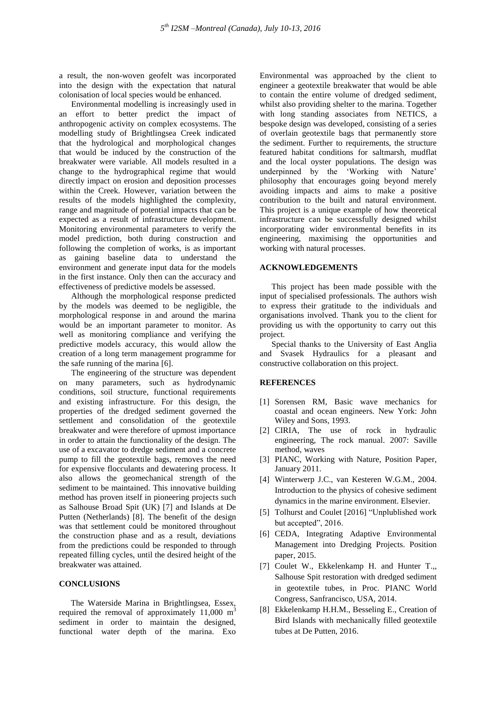a result, the non-woven geofelt was incorporated into the design with the expectation that natural colonisation of local species would be enhanced.

Environmental modelling is increasingly used in an effort to better predict the impact of anthropogenic activity on complex ecosystems. The modelling study of Brightlingsea Creek indicated that the hydrological and morphological changes that would be induced by the construction of the breakwater were variable. All models resulted in a change to the hydrographical regime that would directly impact on erosion and deposition processes within the Creek. However, variation between the results of the models highlighted the complexity, range and magnitude of potential impacts that can be expected as a result of infrastructure development. Monitoring environmental parameters to verify the model prediction, both during construction and following the completion of works, is as important as gaining baseline data to understand the environment and generate input data for the models in the first instance. Only then can the accuracy and effectiveness of predictive models be assessed.

Although the morphological response predicted by the models was deemed to be negligible, the morphological response in and around the marina would be an important parameter to monitor. As well as monitoring compliance and verifying the predictive models accuracy, this would allow the creation of a long term management programme for the safe running of the marina [6].

The engineering of the structure was dependent on many parameters, such as hydrodynamic conditions, soil structure, functional requirements and existing infrastructure. For this design, the properties of the dredged sediment governed the settlement and consolidation of the geotextile breakwater and were therefore of upmost importance in order to attain the functionality of the design. The use of a excavator to dredge sediment and a concrete pump to fill the geotextile bags, removes the need for expensive flocculants and dewatering process. It also allows the geomechanical strength of the sediment to be maintained. This innovative building method has proven itself in pioneering projects such as Salhouse Broad Spit (UK) [7] and Islands at De Putten (Netherlands) [8]. The benefit of the design was that settlement could be monitored throughout the construction phase and as a result, deviations from the predictions could be responded to through repeated filling cycles, until the desired height of the breakwater was attained.

### **CONCLUSIONS**

The Waterside Marina in Brightlingsea, Essex, required the removal of approximately  $11,000 \text{ m}^3$ sediment in order to maintain the designed, functional water depth of the marina. Exo

Environmental was approached by the client to engineer a geotextile breakwater that would be able to contain the entire volume of dredged sediment, whilst also providing shelter to the marina. Together with long standing associates from NETICS, a bespoke design was developed, consisting of a series of overlain geotextile bags that permanently store the sediment. Further to requirements, the structure featured habitat conditions for saltmarsh, mudflat and the local oyster populations. The design was underpinned by the 'Working with Nature' philosophy that encourages going beyond merely avoiding impacts and aims to make a positive contribution to the built and natural environment. This project is a unique example of how theoretical infrastructure can be successfully designed whilst incorporating wider environmental benefits in its engineering, maximising the opportunities and working with natural processes.

### **ACKNOWLEDGEMENTS**

This project has been made possible with the input of specialised professionals. The authors wish to express their gratitude to the individuals and organisations involved. Thank you to the client for providing us with the opportunity to carry out this project.

Special thanks to the University of East Anglia and Svasek Hydraulics for a pleasant and constructive collaboration on this project.

#### **REFERENCES**

- [1] Sorensen RM, Basic wave mechanics for coastal and ocean engineers. New York: John Wiley and Sons, 1993.
- [2] CIRIA, The use of rock in hydraulic engineering, The rock manual. 2007: Saville method, waves
- [3] PIANC, Working with Nature, Position Paper, January 2011.
- [4] Winterwerp J.C., van Kesteren W.G.M., 2004. Introduction to the physics of cohesive sediment dynamics in the marine environment. Elsevier.
- [5] Tolhurst and Coulet [2016] "Unplublished work but accepted", 2016.
- [6] CEDA, Integrating Adaptive Environmental Management into Dredging Projects. Position paper, 2015.
- [7] Coulet W., Ekkelenkamp H. and Hunter T.,, Salhouse Spit restoration with dredged sediment in geotextile tubes, in Proc. PIANC World Congress, Sanfrancisco, USA, 2014.
- [8] Ekkelenkamp H.H.M., Besseling E., Creation of Bird Islands with mechanically filled geotextile tubes at De Putten, 2016.